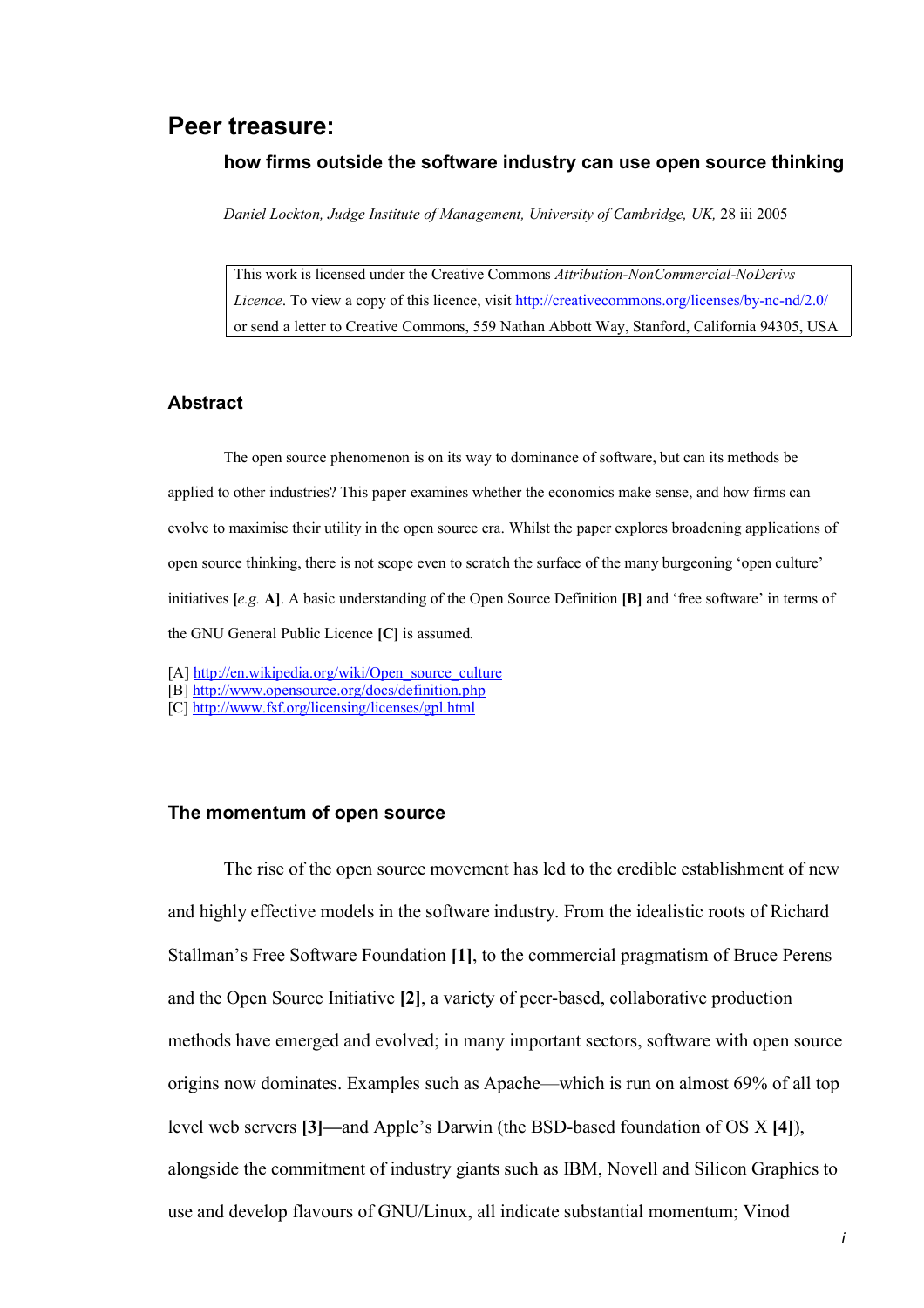# **Peer treasure:**

#### **how firms outside the software industry can use open source thinking**

*Daniel Lockton, Judge Institute of Management, University of Cambridge, UK,* 28 iii 2005

This work is licensed under the Creative Commons *Attribution-NonCommercial-NoDerivs Licence*. To view a copy of this licence, visit <http://creativecommons.org/licenses/by-nc-nd/2.0/> or send a letter to Creative Commons, 559 Nathan Abbott Way, Stanford, California 94305, USA

#### **Abstract**

The open source phenomenon is on its way to dominance of software, but can its methods be applied to other industries? This paper examines whether the economics make sense, and how firms can evolve to maximise their utility in the open source era. Whilst the paper explores broadening applications of open source thinking, there is not scope even to scratch the surface of the many burgeoning 'open culture' initiatives **[***e.g.* **A]**. A basic understanding of the Open Source Definition **[B]** and 'free software' in terms of the GNU General Public Licence **[C]** is assumed.

- [A] [http://en.wikipedia.org/wiki/Open\\_source\\_culture](http://en.wikipedia.org/wiki/Open_source_culture)
- [B]<http://www.opensource.org/docs/definition.php>
- [C] <http://www.fsf.org/licensing/licenses/gpl.html>

#### **The momentum of open source**

The rise of the open source movement has led to the credible establishment of new and highly effective models in the software industry. From the idealistic roots of Richard Stallman's Free Software Foundation **[1]**, to the commercial pragmatism of Bruce Perens and the Open Source Initiative **[2]**, a variety of peer-based, collaborative production methods have emerged and evolved; in many important sectors, software with open source origins now dominates. Examples such as Apache—which is run on almost 69% of all top level web servers **[3]—**and Apple's Darwin (the BSD-based foundation of OS X **[4]**), alongside the commitment of industry giants such as IBM, Novell and Silicon Graphics to use and develop flavours of GNU/Linux, all indicate substantial momentum; Vinod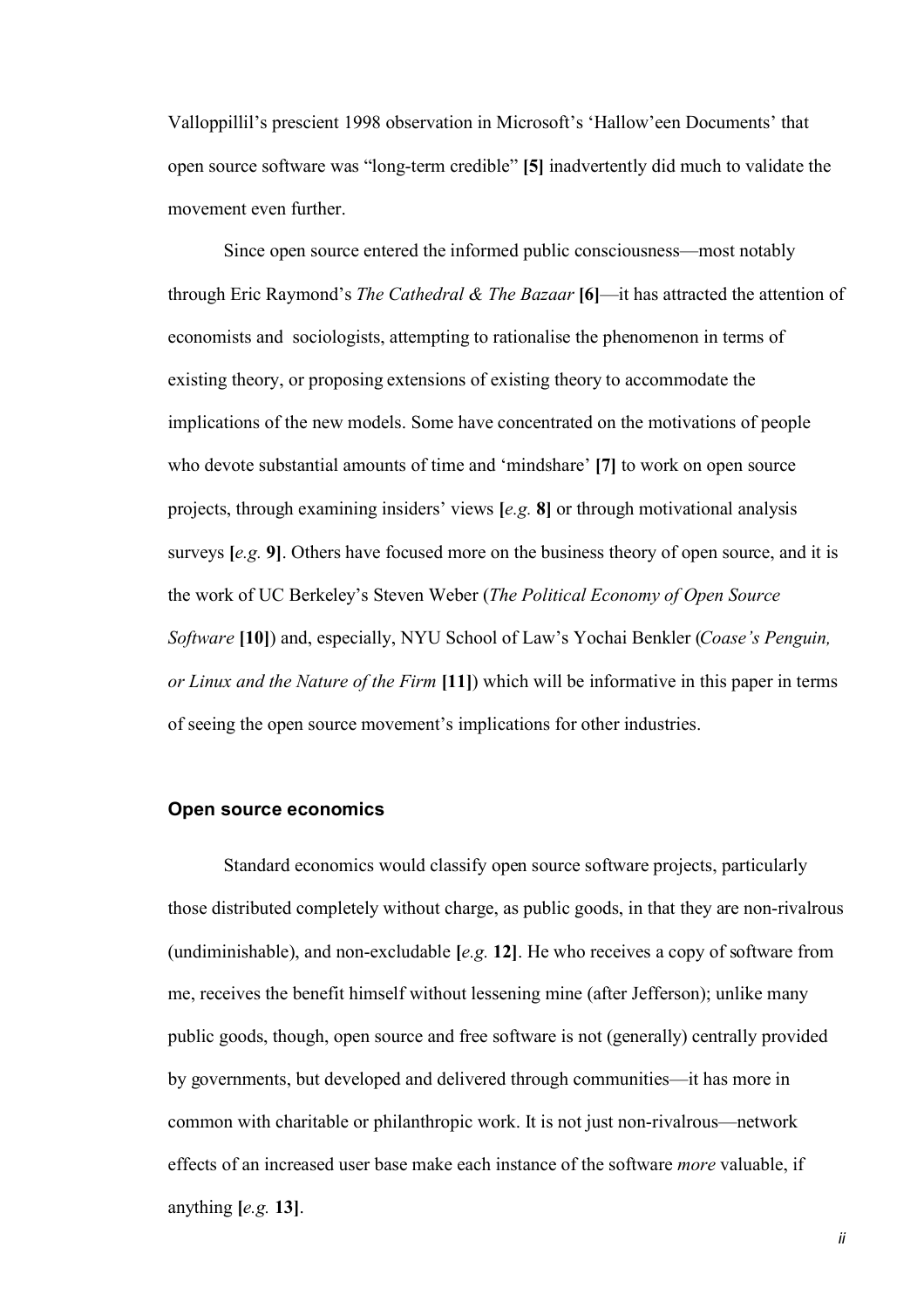Valloppillil's prescient 1998 observation in Microsoft's 'Hallow'een Documents' that open source software was "long-term credible" **[5]** inadvertently did much to validate the movement even further.

Since open source entered the informed public consciousness—most notably through Eric Raymond's *The Cathedral & The Bazaar* **[6]**—it has attracted the attention of economists and sociologists, attempting to rationalise the phenomenon in terms of existing theory, or proposing extensions of existing theory to accommodate the implications of the new models. Some have concentrated on the motivations of people who devote substantial amounts of time and 'mindshare' **[7]** to work on open source projects, through examining insiders' views **[***e.g.* **8]** or through motivational analysis surveys **[***e.g.* **9]**. Others have focused more on the business theory of open source, and it is the work of UC Berkeley's Steven Weber (*The Political Economy of Open Source Software* **[10]**) and, especially, NYU School of Law's Yochai Benkler (*Coase's Penguin, or Linux and the Nature of the Firm* **[11]**) which will be informative in this paper in terms of seeing the open source movement's implications for other industries.

## **Open source economics**

Standard economics would classify open source software projects, particularly those distributed completely without charge, as public goods, in that they are non-rivalrous (undiminishable), and non-excludable **[***e.g.* **12]**. He who receives a copy of software from me, receives the benefit himself without lessening mine (after Jefferson); unlike many public goods, though, open source and free software is not (generally) centrally provided by governments, but developed and delivered through communities—it has more in common with charitable or philanthropic work. It is not just non-rivalrous—network effects of an increased user base make each instance of the software *more* valuable, if anything **[***e.g.* **13]**.

*ii*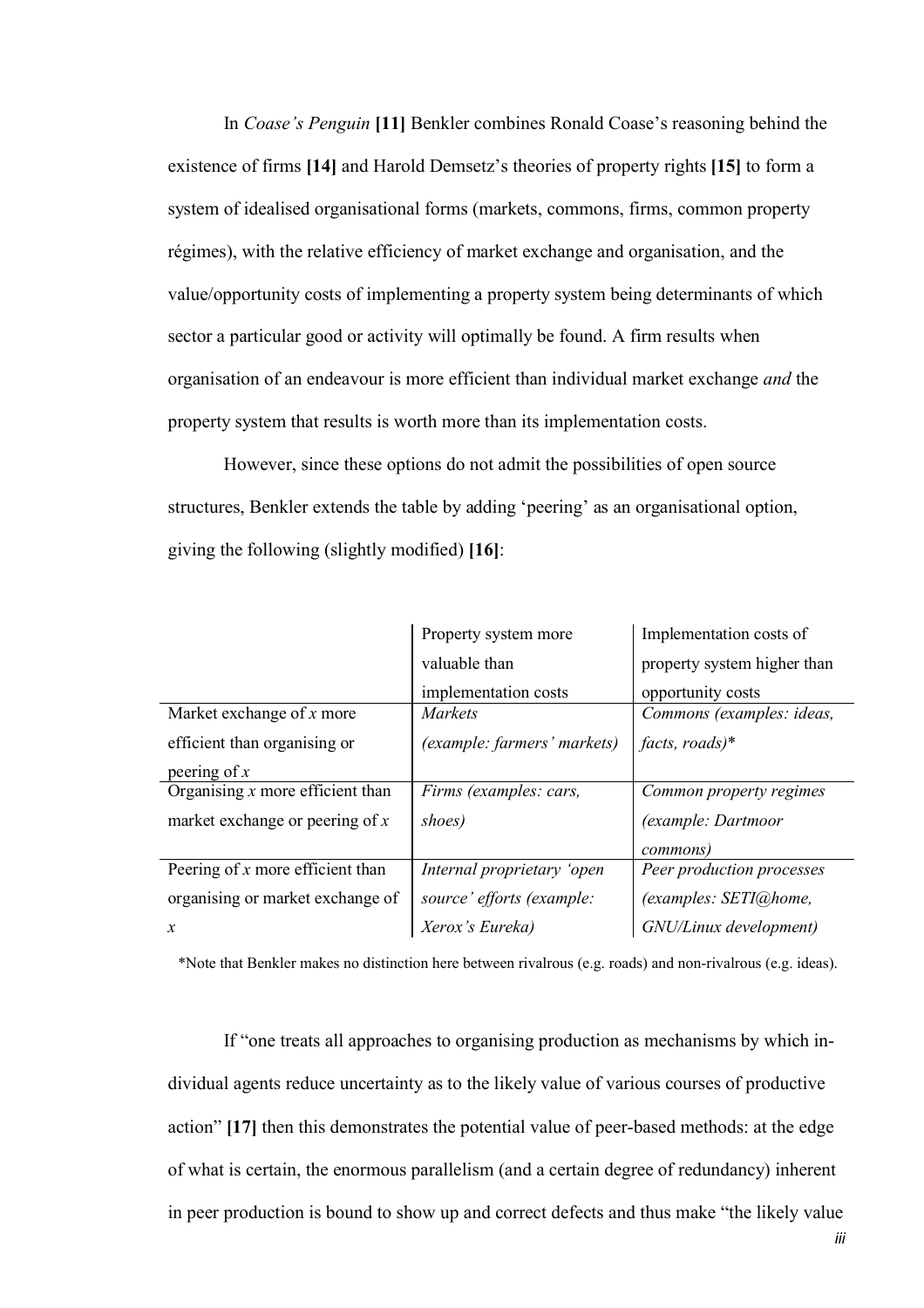In *Coase's Penguin* **[11]** Benkler combines Ronald Coase's reasoning behind the existence of firms **[14]** and Harold Demsetz's theories of property rights **[15]** to form a system of idealised organisational forms (markets, commons, firms, common property régimes), with the relative efficiency of market exchange and organisation, and the value/opportunity costs of implementing a property system being determinants of which sector a particular good or activity will optimally be found. A firm results when organisation of an endeavour is more efficient than individual market exchange *and* the property system that results is worth more than its implementation costs.

However, since these options do not admit the possibilities of open source structures, Benkler extends the table by adding 'peering' as an organisational option, giving the following (slightly modified) **[16]**:

|                                    | Property system more        | Implementation costs of     |
|------------------------------------|-----------------------------|-----------------------------|
|                                    | valuable than               | property system higher than |
|                                    | implementation costs        | opportunity costs           |
| Market exchange of $x$ more        | <i>Markets</i>              | Commons (examples: ideas,   |
| efficient than organising or       | (example: farmers' markets) | facts, roads)*              |
| peering of $x$                     |                             |                             |
| Organising $x$ more efficient than | Firms (examples: cars,      | Common property regimes     |
| market exchange or peering of $x$  | shoes)                      | (example: Dartmoor          |
|                                    |                             | <i>commons</i> )            |
| Peering of $x$ more efficient than | Internal proprietary 'open  | Peer production processes   |
| organising or market exchange of   | source' efforts (example:   | (examples: SETI@home,       |
| $\mathcal{X}$                      | Xerox's Eureka)             | GNU/Linux development)      |

\*Note that Benkler makes no distinction here between rivalrous (e.g. roads) and non-rivalrous (e.g. ideas).

If "one treats all approaches to organising production as mechanisms by which individual agents reduce uncertainty as to the likely value of various courses of productive action" **[17]** then this demonstrates the potential value of peer-based methods: at the edge of what is certain, the enormous parallelism (and a certain degree of redundancy) inherent in peer production is bound to show up and correct defects and thus make "the likely value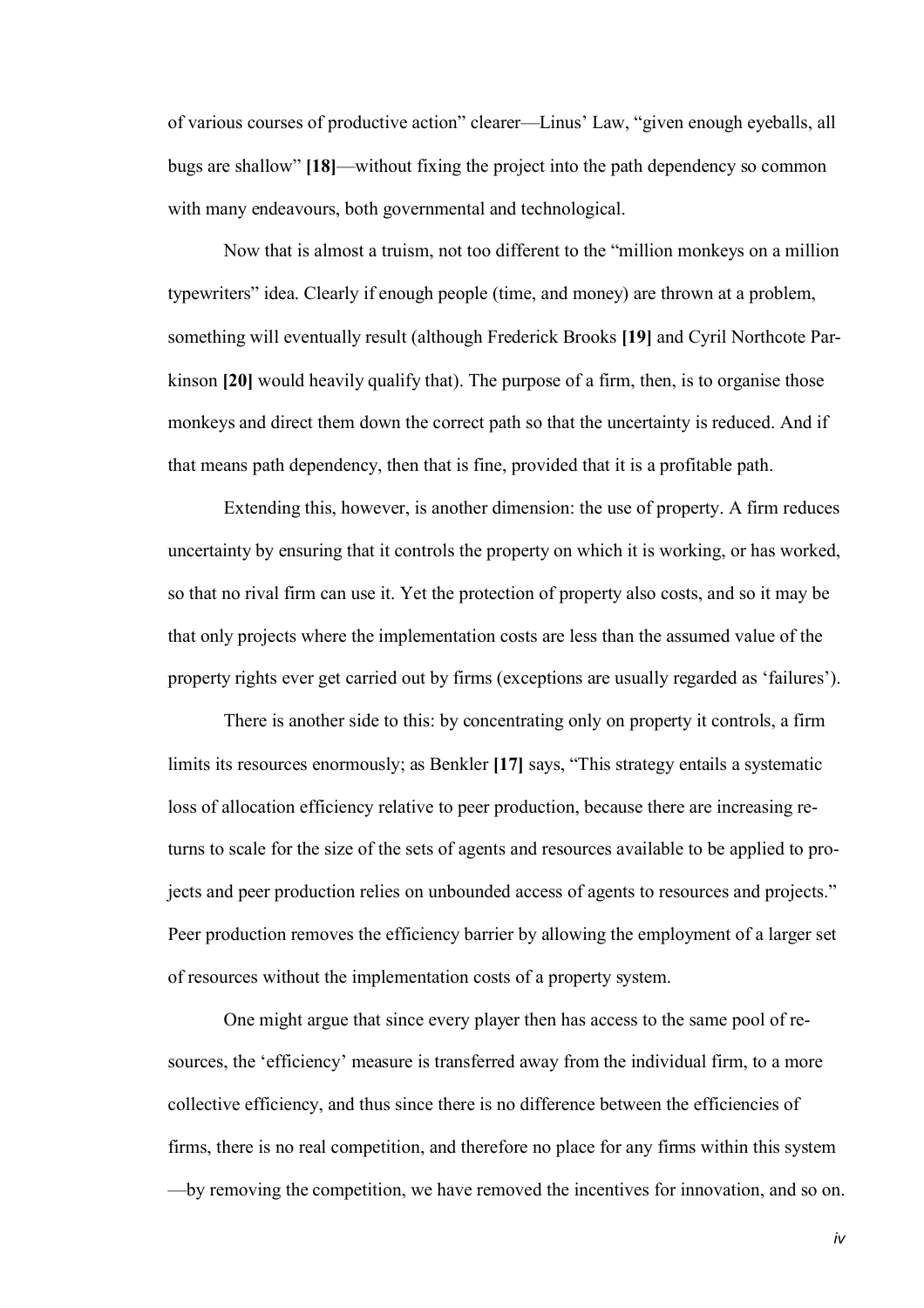of various courses of productive action" clearer—Linus' Law, "given enough eyeballs, all bugs are shallow" **[18]**—without fixing the project into the path dependency so common with many endeavours, both governmental and technological.

Now that is almost a truism, not too different to the "million monkeys on a million typewriters" idea. Clearly if enough people (time, and money) are thrown at a problem, something will eventually result (although Frederick Brooks **[19]** and Cyril Northcote Parkinson **[20]** would heavily qualify that). The purpose of a firm, then, is to organise those monkeys and direct them down the correct path so that the uncertainty is reduced. And if that means path dependency, then that is fine, provided that it is a profitable path.

Extending this, however, is another dimension: the use of property. A firm reduces uncertainty by ensuring that it controls the property on which it is working, or has worked, so that no rival firm can use it. Yet the protection of property also costs, and so it may be that only projects where the implementation costs are less than the assumed value of the property rights ever get carried out by firms (exceptions are usually regarded as 'failures').

There is another side to this: by concentrating only on property it controls, a firm limits its resources enormously; as Benkler **[17]** says, "This strategy entails a systematic loss of allocation efficiency relative to peer production, because there are increasing returns to scale for the size of the sets of agents and resources available to be applied to projects and peer production relies on unbounded access of agents to resources and projects." Peer production removes the efficiency barrier by allowing the employment of a larger set of resources without the implementation costs of a property system.

One might argue that since every player then has access to the same pool of resources, the 'efficiency' measure is transferred away from the individual firm, to a more collective efficiency, and thus since there is no difference between the efficiencies of firms, there is no real competition, and therefore no place for any firms within this system —by removing the competition, we have removed the incentives for innovation, and so on.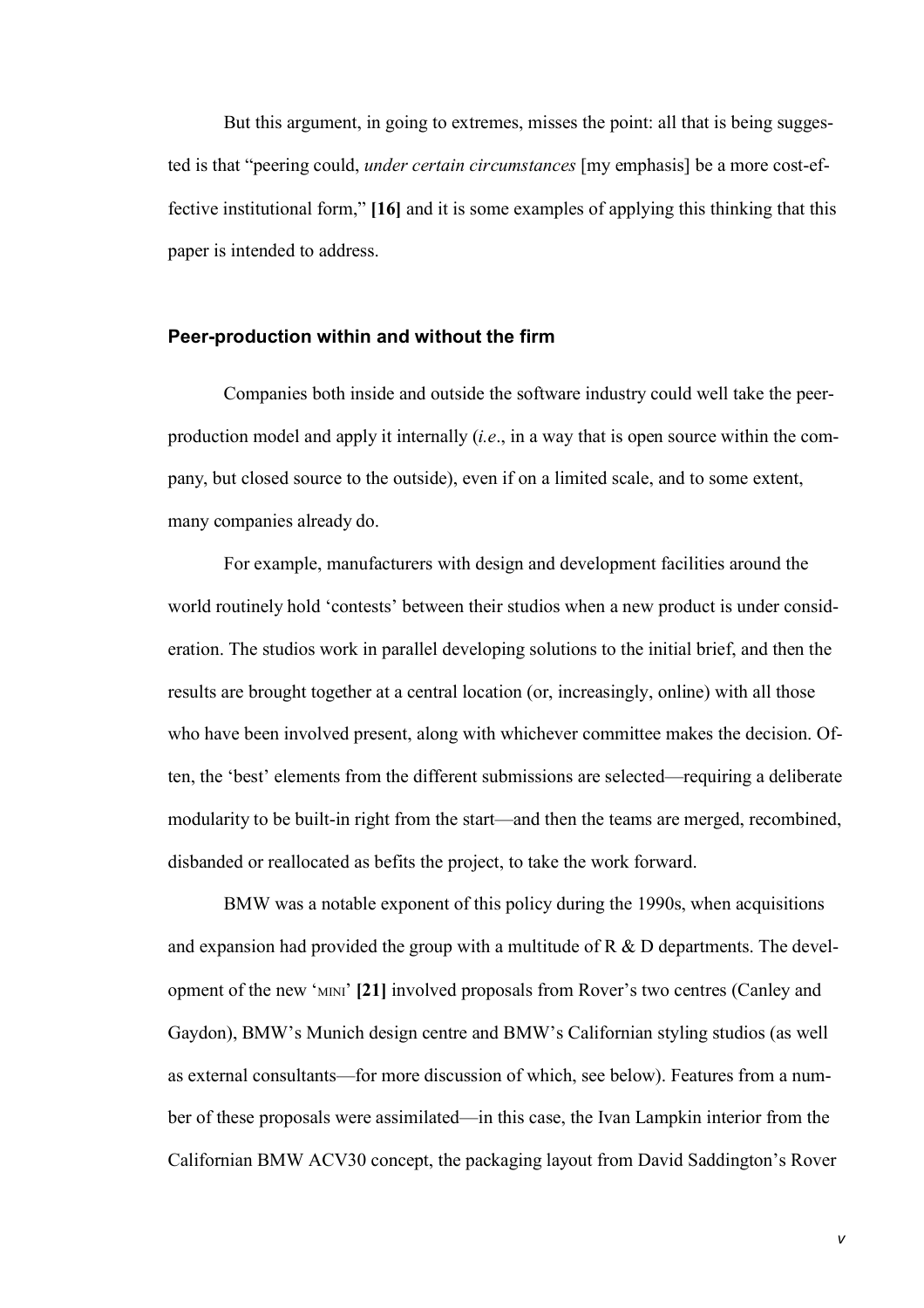But this argument, in going to extremes, misses the point: all that is being suggested is that "peering could, *under certain circumstances* [my emphasis] be a more cost-effective institutional form," **[16]** and it is some examples of applying this thinking that this paper is intended to address.

## **Peer-production within and without the firm**

Companies both inside and outside the software industry could well take the peerproduction model and apply it internally (*i.e*., in a way that is open source within the company, but closed source to the outside), even if on a limited scale, and to some extent, many companies already do.

For example, manufacturers with design and development facilities around the world routinely hold 'contests' between their studios when a new product is under consideration. The studios work in parallel developing solutions to the initial brief, and then the results are brought together at a central location (or, increasingly, online) with all those who have been involved present, along with whichever committee makes the decision. Often, the 'best' elements from the different submissions are selected—requiring a deliberate modularity to be built-in right from the start—and then the teams are merged, recombined, disbanded or reallocated as befits the project, to take the work forward.

BMW was a notable exponent of this policy during the 1990s, when acquisitions and expansion had provided the group with a multitude of R & D departments. The development of the new 'MINI' **[21]** involved proposals from Rover's two centres (Canley and Gaydon), BMW's Munich design centre and BMW's Californian styling studios (as well as external consultants—for more discussion of which, see below). Features from a number of these proposals were assimilated—in this case, the Ivan Lampkin interior from the Californian BMW ACV30 concept, the packaging layout from David Saddington's Rover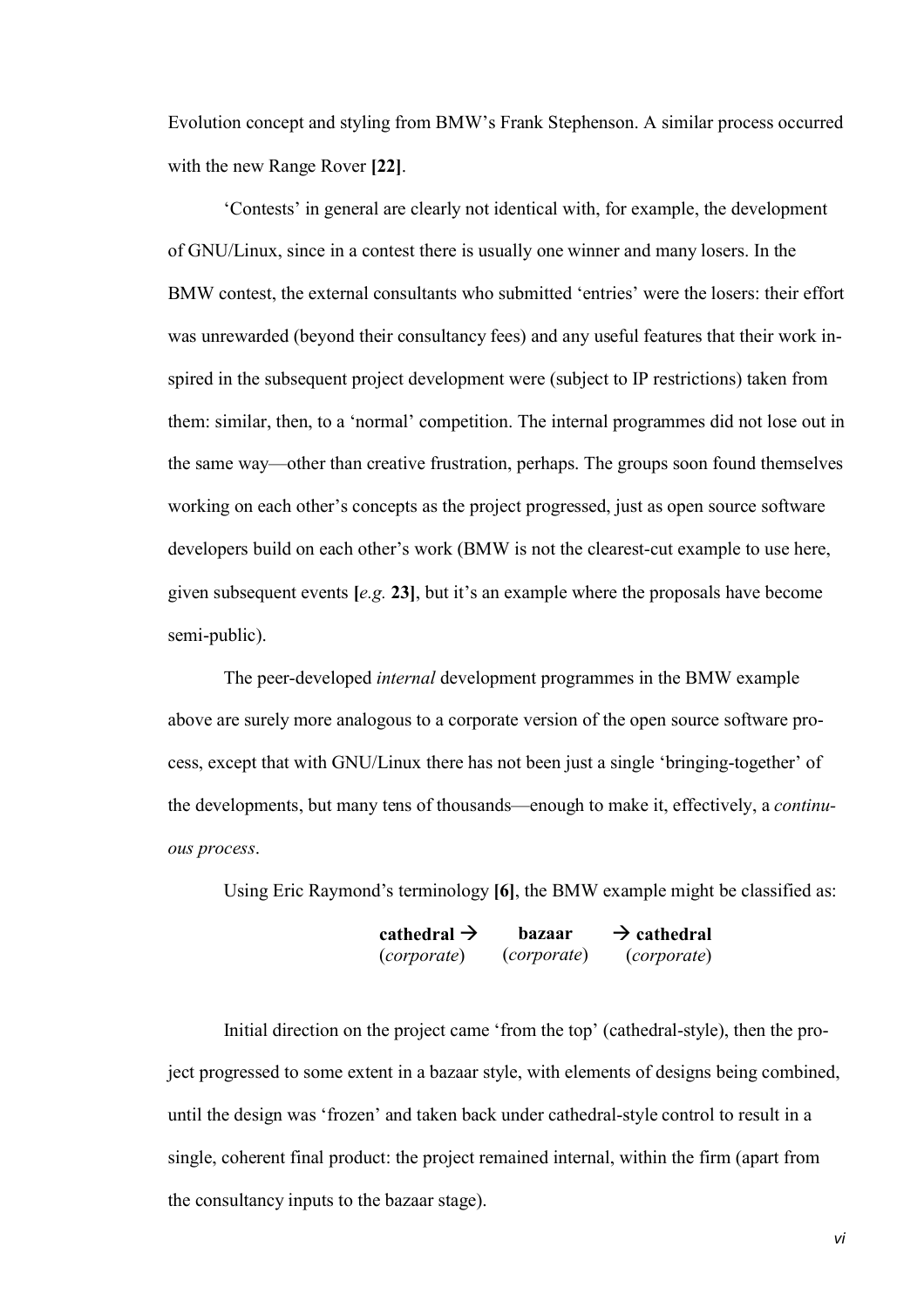Evolution concept and styling from BMW's Frank Stephenson. A similar process occurred with the new Range Rover **[22]**.

'Contests' in general are clearly not identical with, for example, the development of GNU/Linux, since in a contest there is usually one winner and many losers. In the BMW contest, the external consultants who submitted 'entries' were the losers: their effort was unrewarded (beyond their consultancy fees) and any useful features that their work inspired in the subsequent project development were (subject to IP restrictions) taken from them: similar, then, to a 'normal' competition. The internal programmes did not lose out in the same way—other than creative frustration, perhaps. The groups soon found themselves working on each other's concepts as the project progressed, just as open source software developers build on each other's work (BMW is not the clearest-cut example to use here, given subsequent events **[***e.g.* **23]**, but it's an example where the proposals have become semi-public).

The peer-developed *internal* development programmes in the BMW example above are surely more analogous to a corporate version of the open source software process, except that with GNU/Linux there has not been just a single 'bringing-together' of the developments, but many tens of thousands—enough to make it, effectively, a *continuous process*.

Using Eric Raymond's terminology **[6]**, the BMW example might be classified as:

| cathedral $\rightarrow$ | bazaar             | $\rightarrow$ cathedral |
|-------------------------|--------------------|-------------------------|
| <i>(corporate)</i>      | <i>(corporate)</i> | (corporate)             |

Initial direction on the project came 'from the top' (cathedral-style), then the project progressed to some extent in a bazaar style, with elements of designs being combined, until the design was 'frozen' and taken back under cathedral-style control to result in a single, coherent final product: the project remained internal, within the firm (apart from the consultancy inputs to the bazaar stage).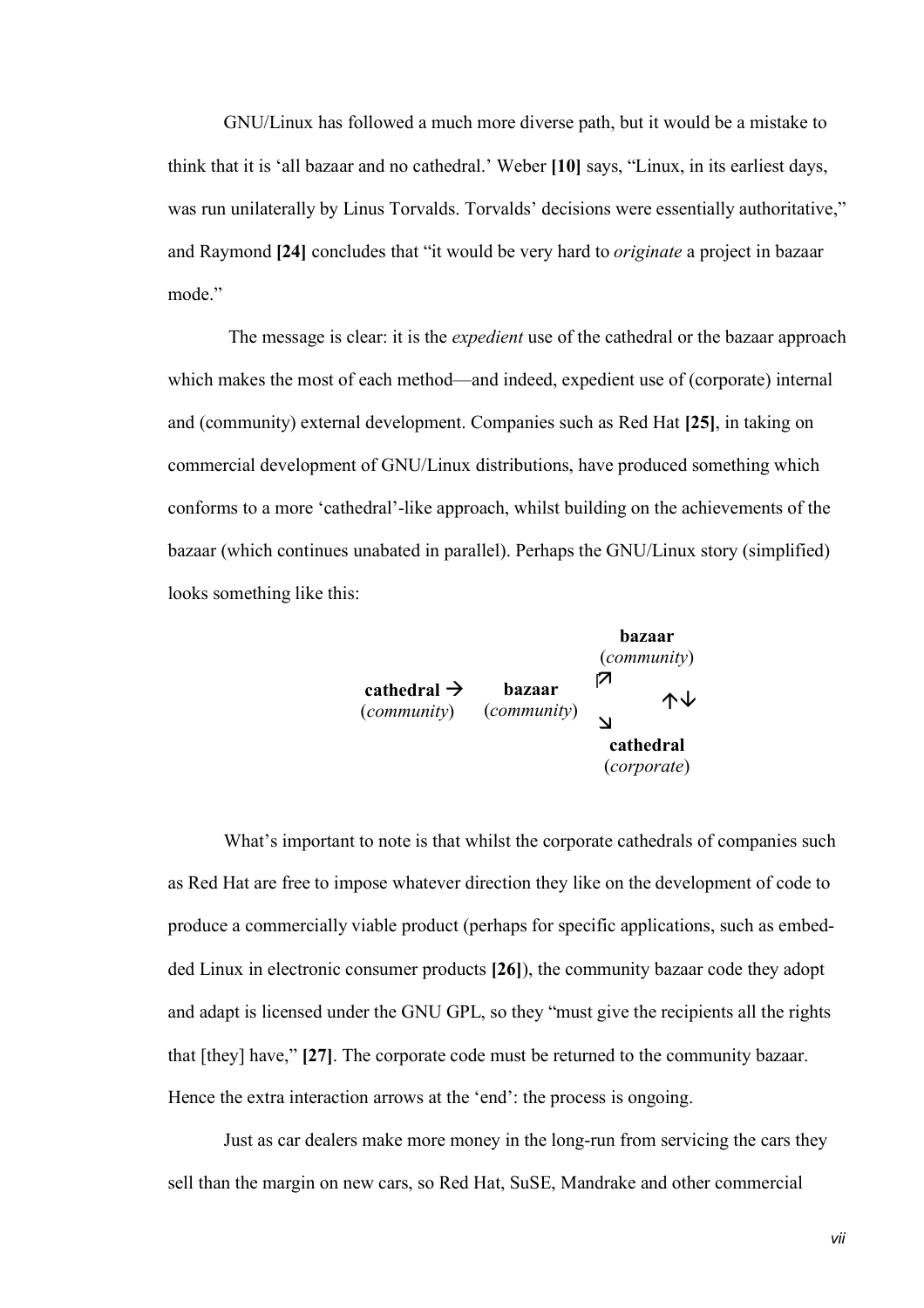GNU/Linux has followed a much more diverse path, but it would be a mistake to think that it is 'all bazaar and no cathedral.' Weber **[10]** says, "Linux, in its earliest days, was run unilaterally by Linus Torvalds. Torvalds' decisions were essentially authoritative," and Raymond **[24]** concludes that "it would be very hard to *originate* a project in bazaar mode<sup>"</sup>

The message is clear: it is the *expedient* use of the cathedral or the bazaar approach which makes the most of each method—and indeed, expedient use of (corporate) internal and (community) external development. Companies such as Red Hat **[25]**, in taking on commercial development of GNU/Linux distributions, have produced something which conforms to a more 'cathedral'-like approach, whilst building on the achievements of the bazaar (which continues unabated in parallel). Perhaps the GNU/Linux story (simplified) looks something like this:



What's important to note is that whilst the corporate cathedrals of companies such as Red Hat are free to impose whatever direction they like on the development of code to produce a commercially viable product (perhaps for specific applications, such as embedded Linux in electronic consumer products **[26]**), the community bazaar code they adopt and adapt is licensed under the GNU GPL, so they "must give the recipients all the rights that [they] have," **[27]**. The corporate code must be returned to the community bazaar. Hence the extra interaction arrows at the 'end': the process is ongoing.

Just as car dealers make more money in the long-run from servicing the cars they sell than the margin on new cars, so Red Hat, SuSE, Mandrake and other commercial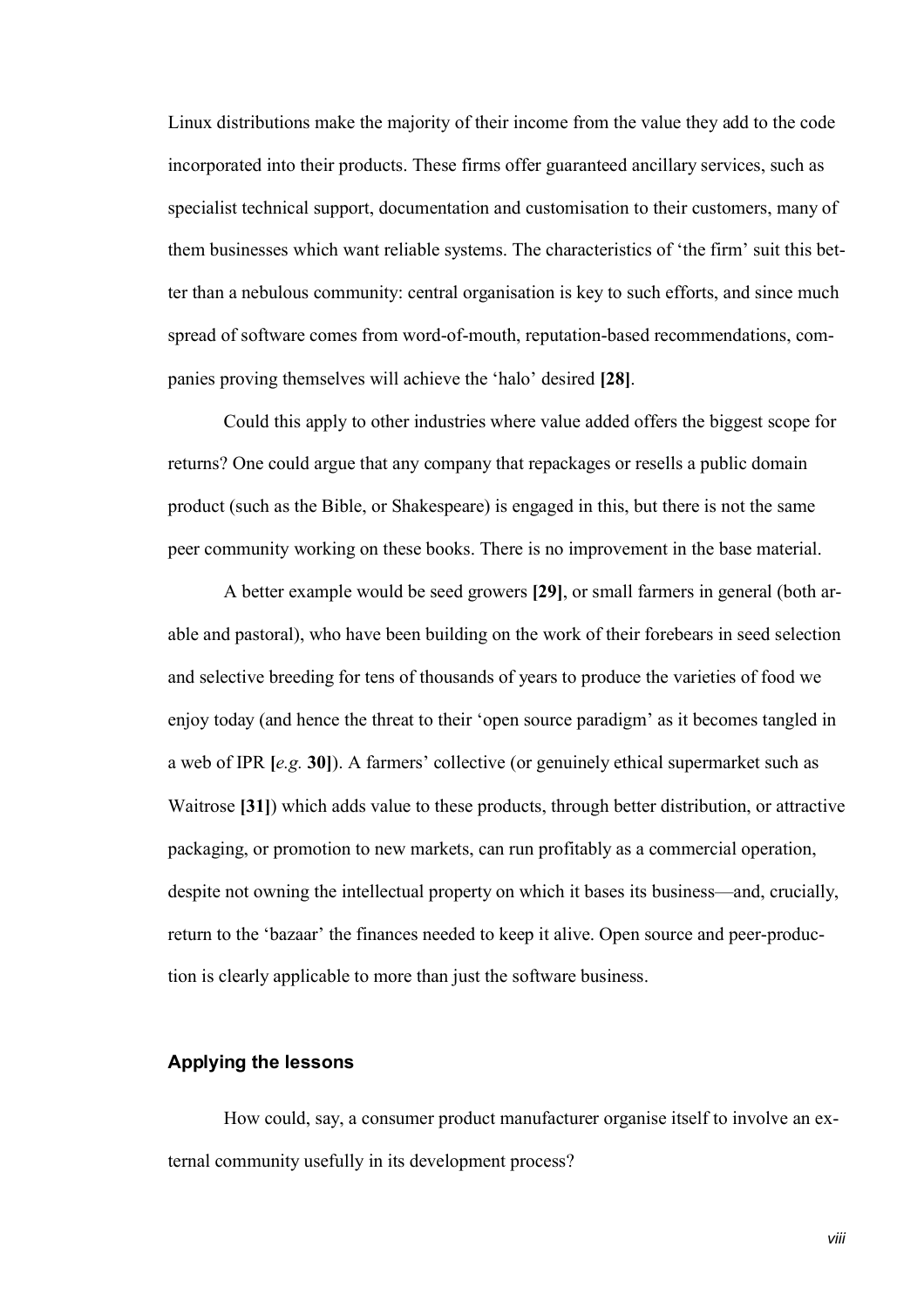Linux distributions make the majority of their income from the value they add to the code incorporated into their products. These firms offer guaranteed ancillary services, such as specialist technical support, documentation and customisation to their customers, many of them businesses which want reliable systems. The characteristics of 'the firm' suit this better than a nebulous community: central organisation is key to such efforts, and since much spread of software comes from word-of-mouth, reputation-based recommendations, companies proving themselves will achieve the 'halo' desired **[28]**.

Could this apply to other industries where value added offers the biggest scope for returns? One could argue that any company that repackages or resells a public domain product (such as the Bible, or Shakespeare) is engaged in this, but there is not the same peer community working on these books. There is no improvement in the base material.

A better example would be seed growers **[29]**, or small farmers in general (both arable and pastoral), who have been building on the work of their forebears in seed selection and selective breeding for tens of thousands of years to produce the varieties of food we enjoy today (and hence the threat to their 'open source paradigm' as it becomes tangled in a web of IPR **[***e.g.* **30]**). A farmers' collective (or genuinely ethical supermarket such as Waitrose **[31]**) which adds value to these products, through better distribution, or attractive packaging, or promotion to new markets, can run profitably as a commercial operation, despite not owning the intellectual property on which it bases its business—and, crucially, return to the 'bazaar' the finances needed to keep it alive. Open source and peer-production is clearly applicable to more than just the software business.

# **Applying the lessons**

How could, say, a consumer product manufacturer organise itself to involve an external community usefully in its development process?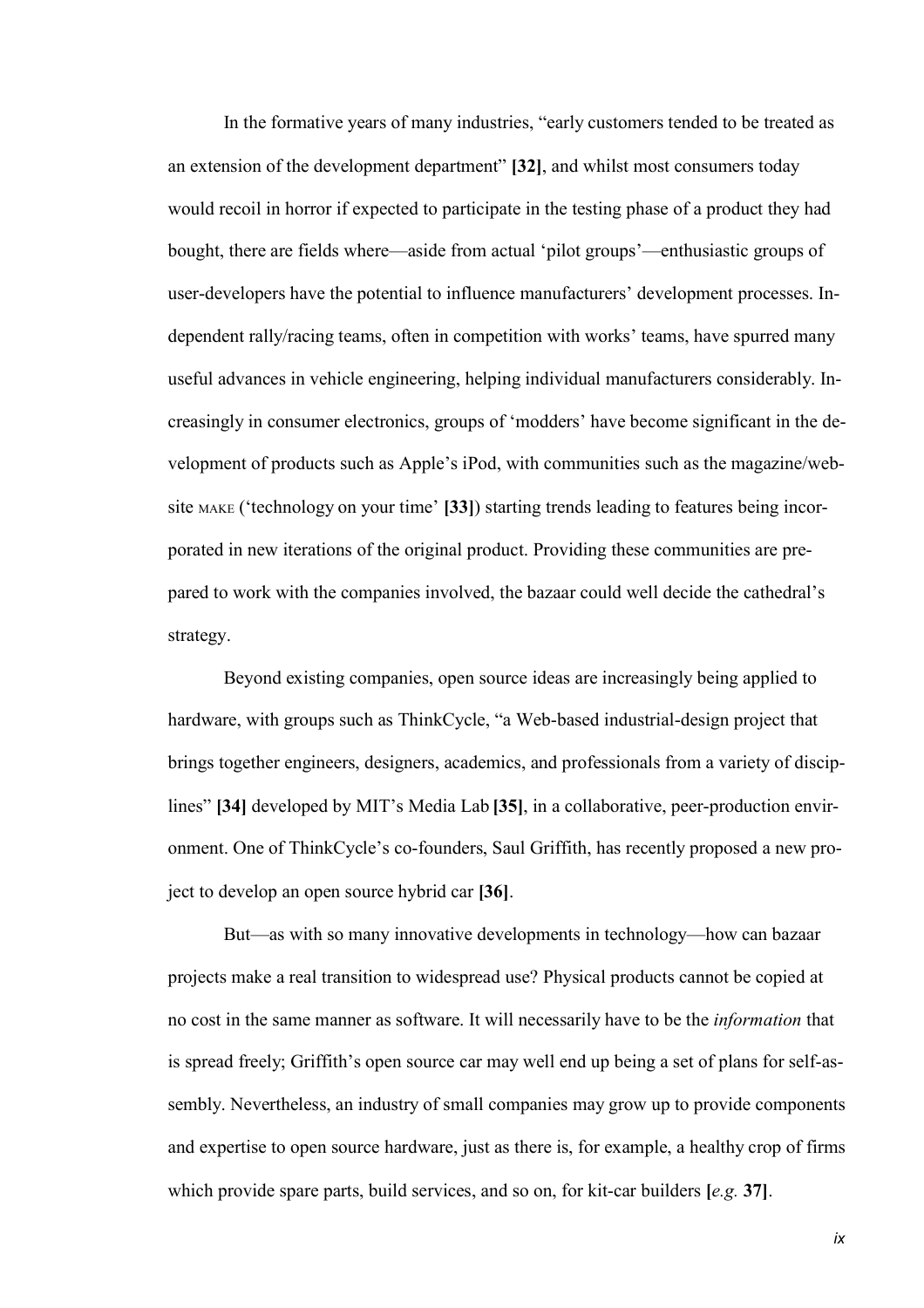In the formative years of many industries, "early customers tended to be treated as an extension of the development department" **[32]**, and whilst most consumers today would recoil in horror if expected to participate in the testing phase of a product they had bought, there are fields where—aside from actual 'pilot groups'—enthusiastic groups of user-developers have the potential to influence manufacturers' development processes. Independent rally/racing teams, often in competition with works' teams, have spurred many useful advances in vehicle engineering, helping individual manufacturers considerably. Increasingly in consumer electronics, groups of 'modders' have become significant in the development of products such as Apple's iPod, with communities such as the magazine/website MAKE ('technology on your time' **[33]**) starting trends leading to features being incorporated in new iterations of the original product. Providing these communities are prepared to work with the companies involved, the bazaar could well decide the cathedral's strategy.

Beyond existing companies, open source ideas are increasingly being applied to hardware, with groups such as ThinkCycle, "a Web-based industrial-design project that brings together engineers, designers, academics, and professionals from a variety of disciplines" **[34]** developed by MIT's Media Lab **[35]**, in a collaborative, peer-production environment. One of ThinkCycle's co-founders, Saul Griffith, has recently proposed a new project to develop an open source hybrid car **[36]**.

But—as with so many innovative developments in technology—how can bazaar projects make a real transition to widespread use? Physical products cannot be copied at no cost in the same manner as software. It will necessarily have to be the *information* that is spread freely; Griffith's open source car may well end up being a set of plans for self-assembly. Nevertheless, an industry of small companies may grow up to provide components and expertise to open source hardware, just as there is, for example, a healthy crop of firms which provide spare parts, build services, and so on, for kit-car builders **[***e.g.* **37]**.

*ix*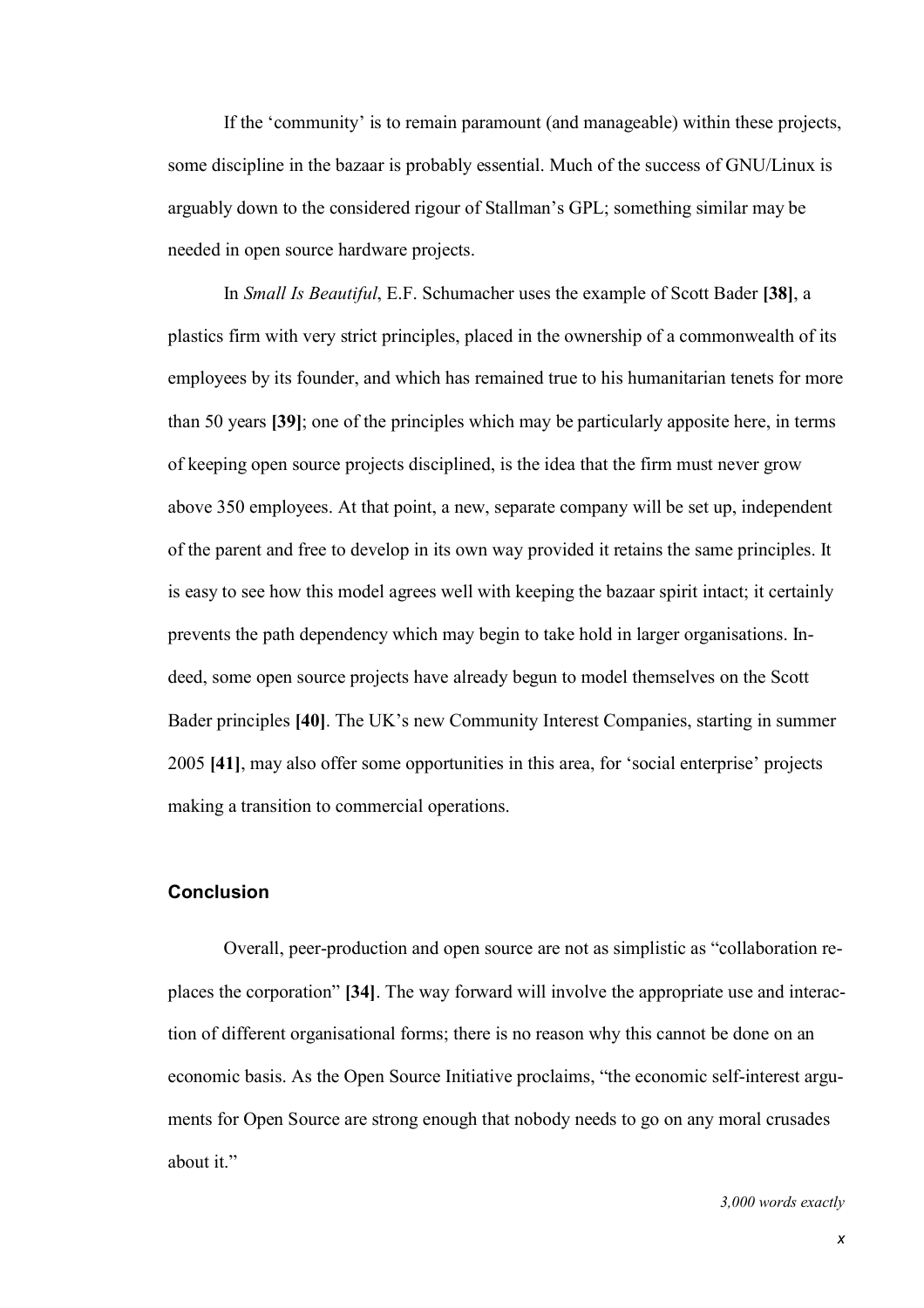If the 'community' is to remain paramount (and manageable) within these projects, some discipline in the bazaar is probably essential. Much of the success of GNU/Linux is arguably down to the considered rigour of Stallman's GPL; something similar may be needed in open source hardware projects.

In *Small Is Beautiful*, E.F. Schumacher uses the example of Scott Bader **[38]**, a plastics firm with very strict principles, placed in the ownership of a commonwealth of its employees by its founder, and which has remained true to his humanitarian tenets for more than 50 years **[39]**; one of the principles which may be particularly apposite here, in terms of keeping open source projects disciplined, is the idea that the firm must never grow above 350 employees. At that point, a new, separate company will be set up, independent of the parent and free to develop in its own way provided it retains the same principles. It is easy to see how this model agrees well with keeping the bazaar spirit intact; it certainly prevents the path dependency which may begin to take hold in larger organisations. Indeed, some open source projects have already begun to model themselves on the Scott Bader principles **[40]**. The UK's new Community Interest Companies, starting in summer 2005 **[41]**, may also offer some opportunities in this area, for 'social enterprise' projects making a transition to commercial operations.

## **Conclusion**

Overall, peer-production and open source are not as simplistic as "collaboration replaces the corporation" **[34]**. The way forward will involve the appropriate use and interaction of different organisational forms; there is no reason why this cannot be done on an economic basis. As the Open Source Initiative proclaims, "the economic self-interest arguments for Open Source are strong enough that nobody needs to go on any moral crusades about it."

#### *3,000 words exactly*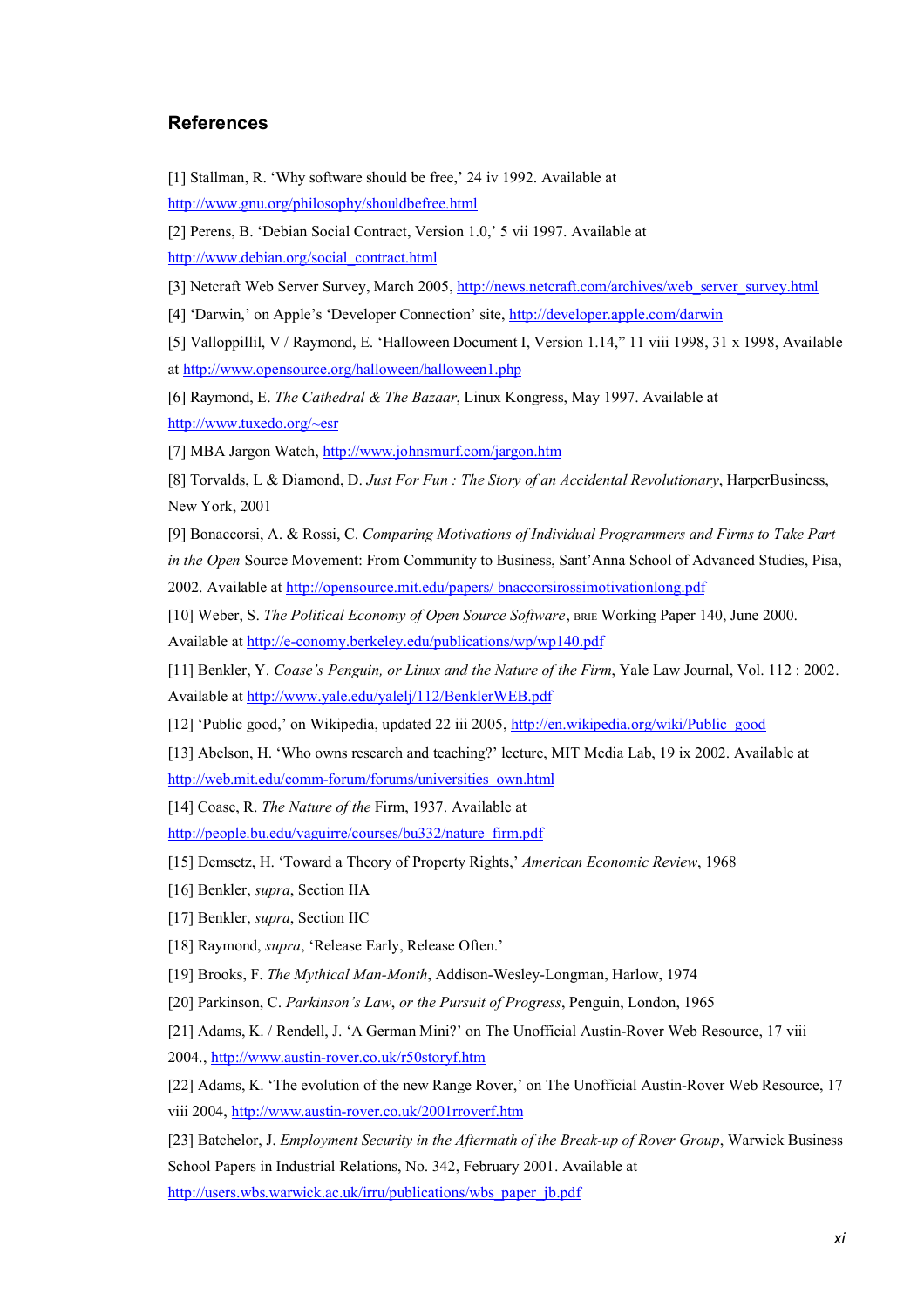## **References**

[1] Stallman, R. 'Why software should be free,' 24 iv 1992. Available at <http://www.gnu.org/philosophy/shouldbefree.html>

[2] Perens, B. 'Debian Social Contract, Version 1.0,' 5 vii 1997. Available at

[http://www.debian.org/social\\_contract.html](http://www.debian.org/social_contract.html)

[3] Netcraft Web Server Survey, March 2005, http://news.netcraft.com/archives/web server\_survey.html

[4] 'Darwin,' on Apple's 'Developer Connection' site, <http://developer.apple.com/darwin>

[5] Valloppillil, V / Raymond, E. 'Halloween Document I, Version 1.14," 11 viii 1998, 31 x 1998, Available at <http://www.opensource.org/halloween/halloween1.php>

[6] Raymond, E. *The Cathedral & The Bazaar*, Linux Kongress, May 1997. Available at <http://www.tuxedo.org/~esr>

[7] MBA Jargon Watch, <http://www.johnsmurf.com/jargon.htm>

[8] Torvalds, L & Diamond, D. *Just For Fun : The Story of an Accidental Revolutionary*, HarperBusiness, New York, 2001

[9] Bonaccorsi, A. & Rossi, C. *Comparing Motivations of Individual Programmers and Firms to Take Part in the Open* Source Movement: From Community to Business, Sant'Anna School of Advanced Studies, Pisa, 2002. Available at <http://opensource.mit.edu/papers/>bnaccorsirossimotivationlong.pdf

[10] Weber, S. *The Political Economy of Open Source Software*, BRIE Working Paper 140, June 2000. Available at <http://e-conomy.berkeley.edu/publications/wp/wp140.pdf>

[11] Benkler, Y. *Coase's Penguin, or Linux and the Nature of the Firm*, Yale Law Journal, Vol. 112 : 2002. Available at <http://www.yale.edu/yalelj/112/BenklerWEB.pdf>

[12] 'Public good,' on Wikipedia, updated 22 iii 2005, [http://en.wikipedia.org/wiki/Public\\_good](http://en.wikipedia.org/wiki/Public_good)

[13] Abelson, H. 'Who owns research and teaching?' lecture, MIT Media Lab, 19 ix 2002. Available at [http://web.mit.edu/comm-forum/forums/universities\\_own.html](http://web.mit.edu/comm-forum/forums/universities_own.html)

[14] Coase, R. *The Nature of the* Firm, 1937. Available at

[http://people.bu.edu/vaguirre/courses/bu332/nature\\_firm.pdf](http://people.bu.edu/vaguirre/courses/bu332/nature_firm.pdf)

[15] Demsetz, H. 'Toward a Theory of Property Rights,' *American Economic Review*, 1968

[16] Benkler, *supra*, Section IIA

[17] Benkler, *supra*, Section IIC

[18] Raymond, *supra*, 'Release Early, Release Often.'

[19] Brooks, F. *The Mythical Man-Month*, Addison-Wesley-Longman, Harlow, 1974

[20] Parkinson, C. *Parkinson's Law*, *or the Pursuit of Progress*, Penguin, London, 1965

[21] Adams, K. / Rendell, J. 'A German Mini?' on The Unofficial Austin-Rover Web Resource, 17 viii

2004., <http://www.austin-rover.co.uk/r50storyf.htm>

[22] Adams, K. 'The evolution of the new Range Rover,' on The Unofficial Austin-Rover Web Resource, 17 viii 2004, <http://www.austin-rover.co.uk/2001rroverf.htm>

[23] Batchelor, J. *Employment Security in the Aftermath of the Break-up of Rover Group*, Warwick Business School Papers in Industrial Relations, No. 342, February 2001. Available at

[http://users.wbs.warwick.ac.uk/irru/publications/wbs\\_paper\\_jb.pdf](http://users.wbs.warwick.ac.uk/irru/publications/wbs_paper_jb.pdf)